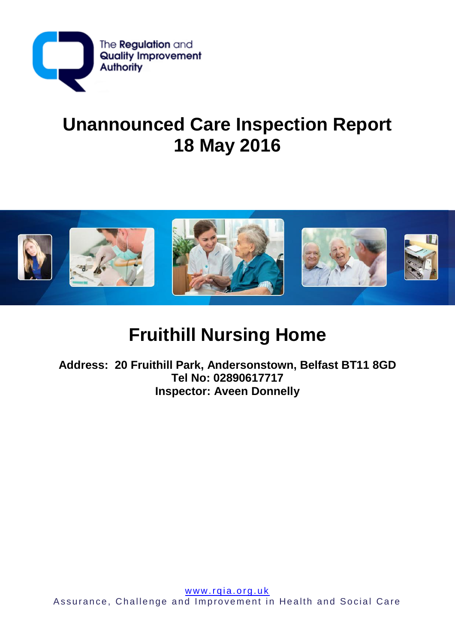

# **Unannounced Care Inspection Report 18 May 2016**



# **Fruithill Nursing Home**

**Address: 20 Fruithill Park, Andersonstown, Belfast BT11 8GD Tel No: 02890617717 Inspector: Aveen Donnelly**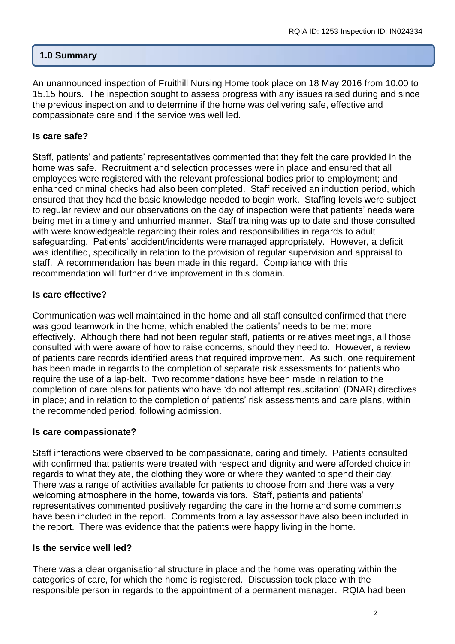# **1.0 Summary**

An unannounced inspection of Fruithill Nursing Home took place on 18 May 2016 from 10.00 to 15.15 hours. The inspection sought to assess progress with any issues raised during and since the previous inspection and to determine if the home was delivering safe, effective and compassionate care and if the service was well led.

## **Is care safe?**

Staff, patients' and patients' representatives commented that they felt the care provided in the home was safe. Recruitment and selection processes were in place and ensured that all employees were registered with the relevant professional bodies prior to employment; and enhanced criminal checks had also been completed. Staff received an induction period, which ensured that they had the basic knowledge needed to begin work. Staffing levels were subject to regular review and our observations on the day of inspection were that patients' needs were being met in a timely and unhurried manner. Staff training was up to date and those consulted with were knowledgeable regarding their roles and responsibilities in regards to adult safeguarding. Patients' accident/incidents were managed appropriately. However, a deficit was identified, specifically in relation to the provision of regular supervision and appraisal to staff. A recommendation has been made in this regard. Compliance with this recommendation will further drive improvement in this domain.

## **Is care effective?**

Communication was well maintained in the home and all staff consulted confirmed that there was good teamwork in the home, which enabled the patients' needs to be met more effectively. Although there had not been regular staff, patients or relatives meetings, all those consulted with were aware of how to raise concerns, should they need to. However, a review of patients care records identified areas that required improvement. As such, one requirement has been made in regards to the completion of separate risk assessments for patients who require the use of a lap-belt. Two recommendations have been made in relation to the completion of care plans for patients who have 'do not attempt resuscitation' (DNAR) directives in place; and in relation to the completion of patients' risk assessments and care plans, within the recommended period, following admission.

#### **Is care compassionate?**

Staff interactions were observed to be compassionate, caring and timely. Patients consulted with confirmed that patients were treated with respect and dignity and were afforded choice in regards to what they ate, the clothing they wore or where they wanted to spend their day. There was a range of activities available for patients to choose from and there was a very welcoming atmosphere in the home, towards visitors. Staff, patients and patients' representatives commented positively regarding the care in the home and some comments have been included in the report. Comments from a lay assessor have also been included in the report. There was evidence that the patients were happy living in the home.

#### **Is the service well led?**

There was a clear organisational structure in place and the home was operating within the categories of care, for which the home is registered. Discussion took place with the responsible person in regards to the appointment of a permanent manager. RQIA had been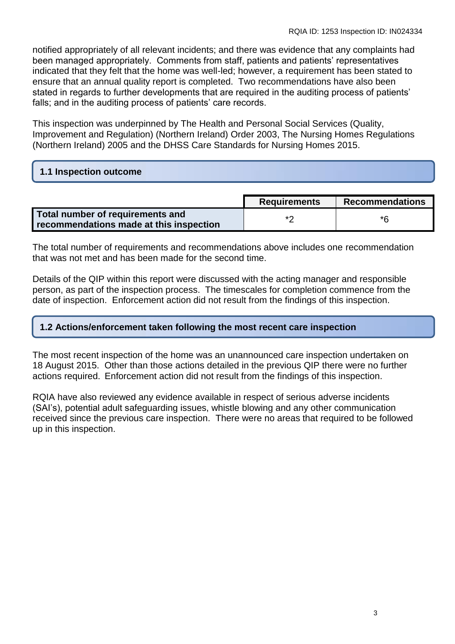notified appropriately of all relevant incidents; and there was evidence that any complaints had been managed appropriately. Comments from staff, patients and patients' representatives indicated that they felt that the home was well-led; however, a requirement has been stated to ensure that an annual quality report is completed. Two recommendations have also been stated in regards to further developments that are required in the auditing process of patients' falls; and in the auditing process of patients' care records.

This inspection was underpinned by The Health and Personal Social Services (Quality, Improvement and Regulation) (Northern Ireland) Order 2003, The Nursing Homes Regulations (Northern Ireland) 2005 and the DHSS Care Standards for Nursing Homes 2015.

## **1.1 Inspection outcome**

|                                                                             | <b>Requirements</b> | <b>Recommendations</b> |
|-----------------------------------------------------------------------------|---------------------|------------------------|
| Total number of requirements and<br>recommendations made at this inspection | $*$                 | *ፍ                     |

The total number of requirements and recommendations above includes one recommendation that was not met and has been made for the second time.

Details of the QIP within this report were discussed with the acting manager and responsible person, as part of the inspection process. The timescales for completion commence from the date of inspection. Enforcement action did not result from the findings of this inspection.

### **1.2 Actions/enforcement taken following the most recent care inspection**

The most recent inspection of the home was an unannounced care inspection undertaken on 18 August 2015. Other than those actions detailed in the previous QIP there were no further actions required. Enforcement action did not result from the findings of this inspection.

RQIA have also reviewed any evidence available in respect of serious adverse incidents (SAI's), potential adult safeguarding issues, whistle blowing and any other communication received since the previous care inspection. There were no areas that required to be followed up in this inspection.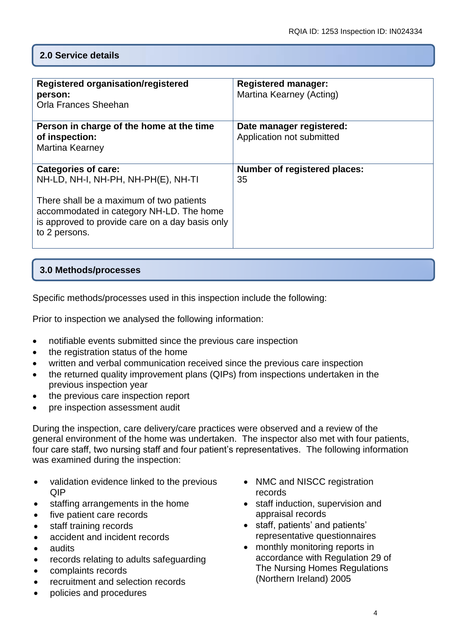# **2.0 Service details**

| <b>Registered organisation/registered</b><br>person:                                                                                                     | <b>Registered manager:</b><br>Martina Kearney (Acting) |
|----------------------------------------------------------------------------------------------------------------------------------------------------------|--------------------------------------------------------|
| <b>Orla Frances Sheehan</b>                                                                                                                              |                                                        |
| Person in charge of the home at the time                                                                                                                 | Date manager registered:                               |
| of inspection:                                                                                                                                           | Application not submitted                              |
| Martina Kearney                                                                                                                                          |                                                        |
| <b>Categories of care:</b>                                                                                                                               | <b>Number of registered places:</b>                    |
| NH-LD, NH-I, NH-PH, NH-PH(E), NH-TI                                                                                                                      | 35                                                     |
| There shall be a maximum of two patients<br>accommodated in category NH-LD. The home<br>is approved to provide care on a day basis only<br>to 2 persons. |                                                        |

# **3.0 Methods/processes**

Specific methods/processes used in this inspection include the following:

Prior to inspection we analysed the following information:

- notifiable events submitted since the previous care inspection
- the registration status of the home
- written and verbal communication received since the previous care inspection
- the returned quality improvement plans (QIPs) from inspections undertaken in the previous inspection year
- the previous care inspection report
- pre inspection assessment audit

During the inspection, care delivery/care practices were observed and a review of the general environment of the home was undertaken. The inspector also met with four patients, four care staff, two nursing staff and four patient's representatives. The following information was examined during the inspection:

- validation evidence linked to the previous QIP
- staffing arrangements in the home
- five patient care records
- staff training records
- accident and incident records
- audits
- records relating to adults safeguarding
- complaints records
- recruitment and selection records
- policies and procedures
- NMC and NISCC registration records
- staff induction, supervision and appraisal records
- staff, patients' and patients' representative questionnaires
- monthly monitoring reports in accordance with Regulation 29 of The Nursing Homes Regulations (Northern Ireland) 2005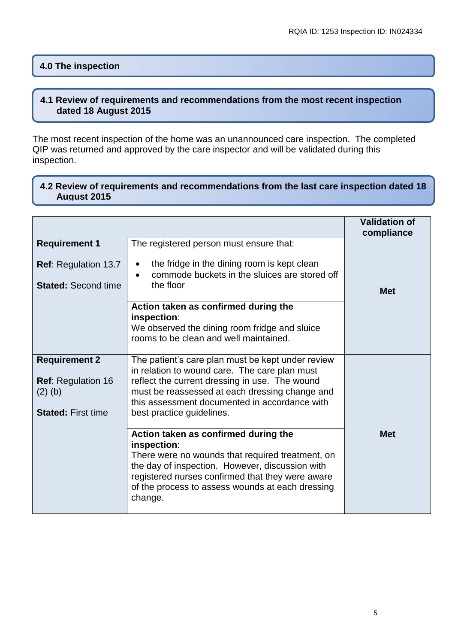#### **4.0 The inspection**

## **4.1 Review of requirements and recommendations from the most recent inspection dated 18 August 2015**

The most recent inspection of the home was an unannounced care inspection. The completed QIP was returned and approved by the care inspector and will be validated during this inspection.

## **4.2 Review of requirements and recommendations from the last care inspection dated 18 August 2015**

|                                                                                             |                                                                                                                                                                                                                                                                                                                                                                                                                                                                                                                                                                       | <b>Validation of</b><br>compliance |
|---------------------------------------------------------------------------------------------|-----------------------------------------------------------------------------------------------------------------------------------------------------------------------------------------------------------------------------------------------------------------------------------------------------------------------------------------------------------------------------------------------------------------------------------------------------------------------------------------------------------------------------------------------------------------------|------------------------------------|
| <b>Requirement 1</b><br><b>Ref: Regulation 13.7</b><br><b>Stated: Second time</b>           | The registered person must ensure that:<br>the fridge in the dining room is kept clean<br>commode buckets in the sluices are stored off<br>the floor<br>Action taken as confirmed during the<br>inspection:<br>We observed the dining room fridge and sluice<br>rooms to be clean and well maintained.                                                                                                                                                                                                                                                                | <b>Met</b>                         |
| <b>Requirement 2</b><br><b>Ref: Regulation 16</b><br>$(2)$ (b)<br><b>Stated: First time</b> | The patient's care plan must be kept under review<br>in relation to wound care. The care plan must<br>reflect the current dressing in use. The wound<br>must be reassessed at each dressing change and<br>this assessment documented in accordance with<br>best practice guidelines.<br>Action taken as confirmed during the<br>inspection:<br>There were no wounds that required treatment, on<br>the day of inspection. However, discussion with<br>registered nurses confirmed that they were aware<br>of the process to assess wounds at each dressing<br>change. | <b>Met</b>                         |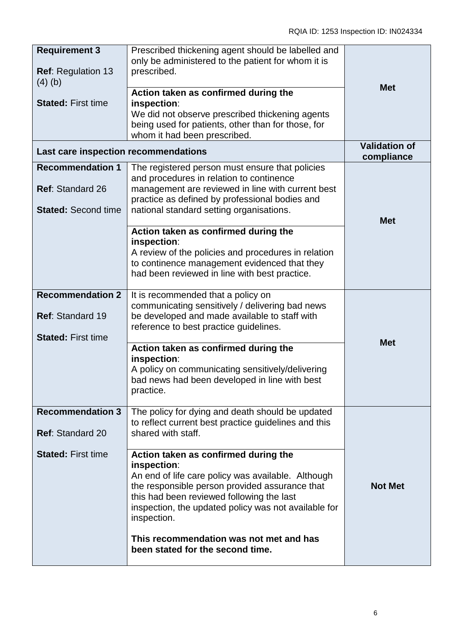| <b>Requirement 3</b>                                                      | Prescribed thickening agent should be labelled and<br>only be administered to the patient for whom it is                                                                                                                                                                                                                                                       |                                    |
|---------------------------------------------------------------------------|----------------------------------------------------------------------------------------------------------------------------------------------------------------------------------------------------------------------------------------------------------------------------------------------------------------------------------------------------------------|------------------------------------|
| <b>Ref: Regulation 13</b><br>$(4)$ (b)                                    | prescribed.                                                                                                                                                                                                                                                                                                                                                    | <b>Met</b>                         |
| <b>Stated: First time</b>                                                 | Action taken as confirmed during the<br>inspection:<br>We did not observe prescribed thickening agents<br>being used for patients, other than for those, for<br>whom it had been prescribed.                                                                                                                                                                   |                                    |
| Last care inspection recommendations                                      |                                                                                                                                                                                                                                                                                                                                                                | <b>Validation of</b><br>compliance |
| <b>Recommendation 1</b><br>Ref: Standard 26<br><b>Stated: Second time</b> | The registered person must ensure that policies<br>and procedures in relation to continence<br>management are reviewed in line with current best<br>practice as defined by professional bodies and<br>national standard setting organisations.                                                                                                                 | <b>Met</b>                         |
|                                                                           | Action taken as confirmed during the<br>inspection:<br>A review of the policies and procedures in relation<br>to continence management evidenced that they<br>had been reviewed in line with best practice.                                                                                                                                                    |                                    |
| <b>Recommendation 2</b><br>Ref: Standard 19<br><b>Stated: First time</b>  | It is recommended that a policy on<br>communicating sensitively / delivering bad news<br>be developed and made available to staff with<br>reference to best practice guidelines.                                                                                                                                                                               | <b>Met</b>                         |
|                                                                           | Action taken as confirmed during the<br>inspection:<br>A policy on communicating sensitively/delivering<br>bad news had been developed in line with best<br>practice.                                                                                                                                                                                          |                                    |
| <b>Recommendation 3</b><br>Ref: Standard 20                               | The policy for dying and death should be updated<br>to reflect current best practice guidelines and this<br>shared with staff.                                                                                                                                                                                                                                 |                                    |
| <b>Stated: First time</b>                                                 | Action taken as confirmed during the<br>inspection:<br>An end of life care policy was available. Although<br>the responsible person provided assurance that<br>this had been reviewed following the last<br>inspection, the updated policy was not available for<br>inspection.<br>This recommendation was not met and has<br>been stated for the second time. | <b>Not Met</b>                     |
|                                                                           |                                                                                                                                                                                                                                                                                                                                                                |                                    |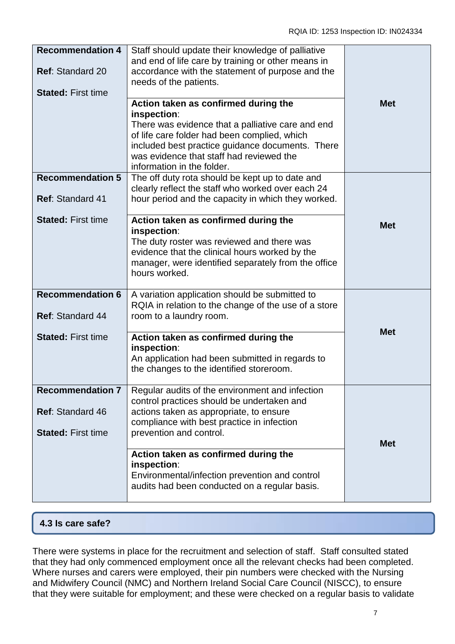| <b>Recommendation 4</b>                            | Staff should update their knowledge of palliative                                                                                                                                                                                                                                      |            |
|----------------------------------------------------|----------------------------------------------------------------------------------------------------------------------------------------------------------------------------------------------------------------------------------------------------------------------------------------|------------|
| Ref: Standard 20<br><b>Stated: First time</b>      | and end of life care by training or other means in<br>accordance with the statement of purpose and the<br>needs of the patients.                                                                                                                                                       |            |
|                                                    | Action taken as confirmed during the<br>inspection:<br>There was evidence that a palliative care and end<br>of life care folder had been complied, which<br>included best practice guidance documents. There<br>was evidence that staff had reviewed the<br>information in the folder. | <b>Met</b> |
| <b>Recommendation 5</b><br>Ref: Standard 41        | The off duty rota should be kept up to date and<br>clearly reflect the staff who worked over each 24<br>hour period and the capacity in which they worked.                                                                                                                             |            |
| <b>Stated: First time</b>                          | Action taken as confirmed during the<br>inspection:<br>The duty roster was reviewed and there was<br>evidence that the clinical hours worked by the<br>manager, were identified separately from the office<br>hours worked.                                                            | <b>Met</b> |
| <b>Recommendation 6</b><br><b>Ref: Standard 44</b> | A variation application should be submitted to<br>RQIA in relation to the change of the use of a store<br>room to a laundry room.                                                                                                                                                      |            |
| <b>Stated: First time</b>                          | Action taken as confirmed during the<br>inspection:<br>An application had been submitted in regards to<br>the changes to the identified storeroom.                                                                                                                                     | <b>Met</b> |
| <b>Recommendation 7</b>                            | Regular audits of the environment and infection<br>control practices should be undertaken and                                                                                                                                                                                          |            |
| Ref: Standard 46                                   | actions taken as appropriate, to ensure<br>compliance with best practice in infection                                                                                                                                                                                                  |            |
| <b>Stated: First time</b>                          | prevention and control.                                                                                                                                                                                                                                                                | <b>Met</b> |
|                                                    | Action taken as confirmed during the<br>inspection:<br>Environmental/infection prevention and control<br>audits had been conducted on a regular basis.                                                                                                                                 |            |

## **4.3 Is care safe?**

There were systems in place for the recruitment and selection of staff. Staff consulted stated that they had only commenced employment once all the relevant checks had been completed. Where nurses and carers were employed, their pin numbers were checked with the Nursing and Midwifery Council (NMC) and Northern Ireland Social Care Council (NISCC), to ensure that they were suitable for employment; and these were checked on a regular basis to validate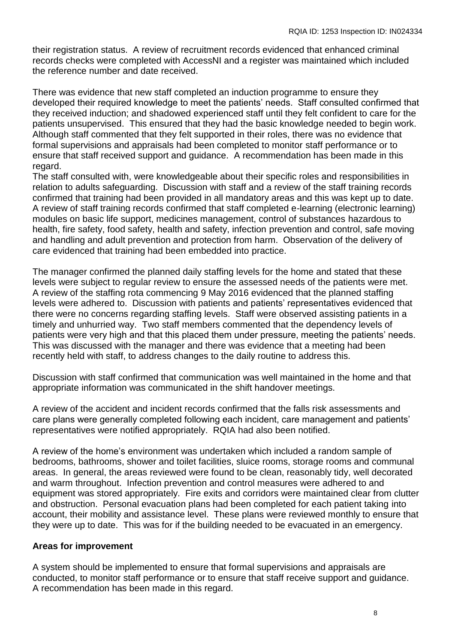their registration status. A review of recruitment records evidenced that enhanced criminal records checks were completed with AccessNI and a register was maintained which included the reference number and date received.

There was evidence that new staff completed an induction programme to ensure they developed their required knowledge to meet the patients' needs. Staff consulted confirmed that they received induction; and shadowed experienced staff until they felt confident to care for the patients unsupervised. This ensured that they had the basic knowledge needed to begin work. Although staff commented that they felt supported in their roles, there was no evidence that formal supervisions and appraisals had been completed to monitor staff performance or to ensure that staff received support and guidance. A recommendation has been made in this regard.

The staff consulted with, were knowledgeable about their specific roles and responsibilities in relation to adults safeguarding. Discussion with staff and a review of the staff training records confirmed that training had been provided in all mandatory areas and this was kept up to date. A review of staff training records confirmed that staff completed e-learning (electronic learning) modules on basic life support, medicines management, control of substances hazardous to health, fire safety, food safety, health and safety, infection prevention and control, safe moving and handling and adult prevention and protection from harm. Observation of the delivery of care evidenced that training had been embedded into practice.

The manager confirmed the planned daily staffing levels for the home and stated that these levels were subject to regular review to ensure the assessed needs of the patients were met. A review of the staffing rota commencing 9 May 2016 evidenced that the planned staffing levels were adhered to. Discussion with patients and patients' representatives evidenced that there were no concerns regarding staffing levels. Staff were observed assisting patients in a timely and unhurried way. Two staff members commented that the dependency levels of patients were very high and that this placed them under pressure, meeting the patients' needs. This was discussed with the manager and there was evidence that a meeting had been recently held with staff, to address changes to the daily routine to address this.

Discussion with staff confirmed that communication was well maintained in the home and that appropriate information was communicated in the shift handover meetings.

A review of the accident and incident records confirmed that the falls risk assessments and care plans were generally completed following each incident, care management and patients' representatives were notified appropriately. RQIA had also been notified.

A review of the home's environment was undertaken which included a random sample of bedrooms, bathrooms, shower and toilet facilities, sluice rooms, storage rooms and communal areas. In general, the areas reviewed were found to be clean, reasonably tidy, well decorated and warm throughout. Infection prevention and control measures were adhered to and equipment was stored appropriately. Fire exits and corridors were maintained clear from clutter and obstruction. Personal evacuation plans had been completed for each patient taking into account, their mobility and assistance level. These plans were reviewed monthly to ensure that they were up to date. This was for if the building needed to be evacuated in an emergency.

## **Areas for improvement**

A system should be implemented to ensure that formal supervisions and appraisals are conducted, to monitor staff performance or to ensure that staff receive support and guidance. A recommendation has been made in this regard.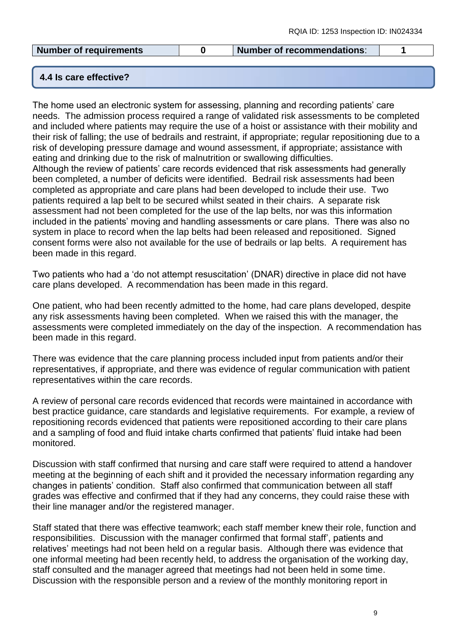| <b>Number of requirements</b> | <b>Number of recommendations:</b> |  |
|-------------------------------|-----------------------------------|--|
|                               |                                   |  |

#### **4.4 Is care effective?**

The home used an electronic system for assessing, planning and recording patients' care needs. The admission process required a range of validated risk assessments to be completed and included where patients may require the use of a hoist or assistance with their mobility and their risk of falling; the use of bedrails and restraint, if appropriate; regular repositioning due to a risk of developing pressure damage and wound assessment, if appropriate; assistance with eating and drinking due to the risk of malnutrition or swallowing difficulties. Although the review of patients' care records evidenced that risk assessments had generally been completed, a number of deficits were identified. Bedrail risk assessments had been completed as appropriate and care plans had been developed to include their use. Two patients required a lap belt to be secured whilst seated in their chairs. A separate risk assessment had not been completed for the use of the lap belts, nor was this information included in the patients' moving and handling assessments or care plans. There was also no system in place to record when the lap belts had been released and repositioned. Signed consent forms were also not available for the use of bedrails or lap belts. A requirement has been made in this regard.

Two patients who had a 'do not attempt resuscitation' (DNAR) directive in place did not have care plans developed. A recommendation has been made in this regard.

One patient, who had been recently admitted to the home, had care plans developed, despite any risk assessments having been completed. When we raised this with the manager, the assessments were completed immediately on the day of the inspection. A recommendation has been made in this regard.

There was evidence that the care planning process included input from patients and/or their representatives, if appropriate, and there was evidence of regular communication with patient representatives within the care records.

A review of personal care records evidenced that records were maintained in accordance with best practice guidance, care standards and legislative requirements. For example, a review of repositioning records evidenced that patients were repositioned according to their care plans and a sampling of food and fluid intake charts confirmed that patients' fluid intake had been monitored.

Discussion with staff confirmed that nursing and care staff were required to attend a handover meeting at the beginning of each shift and it provided the necessary information regarding any changes in patients' condition. Staff also confirmed that communication between all staff grades was effective and confirmed that if they had any concerns, they could raise these with their line manager and/or the registered manager.

Staff stated that there was effective teamwork; each staff member knew their role, function and responsibilities. Discussion with the manager confirmed that formal staff', patients and relatives' meetings had not been held on a regular basis. Although there was evidence that one informal meeting had been recently held, to address the organisation of the working day, staff consulted and the manager agreed that meetings had not been held in some time. Discussion with the responsible person and a review of the monthly monitoring report in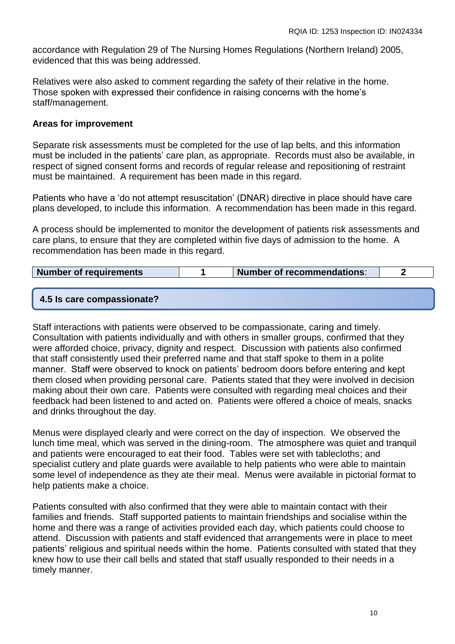accordance with Regulation 29 of The Nursing Homes Regulations (Northern Ireland) 2005, evidenced that this was being addressed.

Relatives were also asked to comment regarding the safety of their relative in the home. Those spoken with expressed their confidence in raising concerns with the home's staff/management.

## **Areas for improvement**

Separate risk assessments must be completed for the use of lap belts, and this information must be included in the patients' care plan, as appropriate. Records must also be available, in respect of signed consent forms and records of regular release and repositioning of restraint must be maintained. A requirement has been made in this regard.

Patients who have a 'do not attempt resuscitation' (DNAR) directive in place should have care plans developed, to include this information. A recommendation has been made in this regard.

A process should be implemented to monitor the development of patients risk assessments and care plans, to ensure that they are completed within five days of admission to the home. A recommendation has been made in this regard.

|  | Number of requirements |  | Number of recommendations: |  |
|--|------------------------|--|----------------------------|--|
|--|------------------------|--|----------------------------|--|

## **4.5 Is care compassionate?**

Staff interactions with patients were observed to be compassionate, caring and timely. Consultation with patients individually and with others in smaller groups, confirmed that they were afforded choice, privacy, dignity and respect. Discussion with patients also confirmed that staff consistently used their preferred name and that staff spoke to them in a polite manner. Staff were observed to knock on patients' bedroom doors before entering and kept them closed when providing personal care. Patients stated that they were involved in decision making about their own care. Patients were consulted with regarding meal choices and their feedback had been listened to and acted on. Patients were offered a choice of meals, snacks and drinks throughout the day.

Menus were displayed clearly and were correct on the day of inspection. We observed the lunch time meal, which was served in the dining-room. The atmosphere was quiet and tranquil and patients were encouraged to eat their food. Tables were set with tablecloths; and specialist cutlery and plate guards were available to help patients who were able to maintain some level of independence as they ate their meal. Menus were available in pictorial format to help patients make a choice.

Patients consulted with also confirmed that they were able to maintain contact with their families and friends. Staff supported patients to maintain friendships and socialise within the home and there was a range of activities provided each day, which patients could choose to attend. Discussion with patients and staff evidenced that arrangements were in place to meet patients' religious and spiritual needs within the home. Patients consulted with stated that they knew how to use their call bells and stated that staff usually responded to their needs in a timely manner.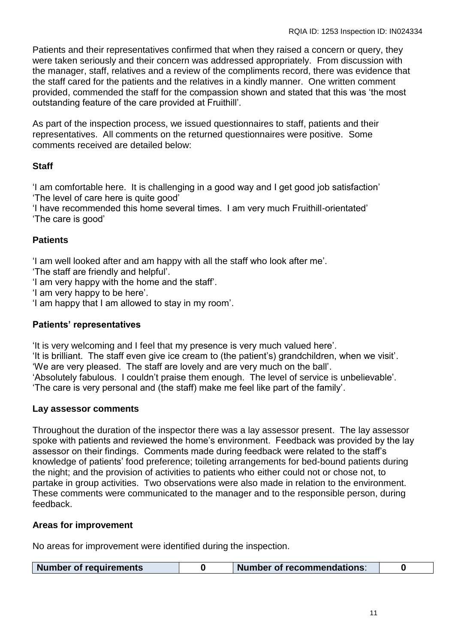Patients and their representatives confirmed that when they raised a concern or query, they were taken seriously and their concern was addressed appropriately. From discussion with the manager, staff, relatives and a review of the compliments record, there was evidence that the staff cared for the patients and the relatives in a kindly manner. One written comment provided, commended the staff for the compassion shown and stated that this was 'the most outstanding feature of the care provided at Fruithill'.

As part of the inspection process, we issued questionnaires to staff, patients and their representatives. All comments on the returned questionnaires were positive. Some comments received are detailed below:

## **Staff**

'I am comfortable here. It is challenging in a good way and I get good job satisfaction' 'The level of care here is quite good'

'I have recommended this home several times. I am very much Fruithill-orientated' 'The care is good'

## **Patients**

'I am well looked after and am happy with all the staff who look after me'.

'The staff are friendly and helpful'.

'I am very happy with the home and the staff'.

'I am very happy to be here'.

'I am happy that I am allowed to stay in my room'.

### **Patients' representatives**

'It is very welcoming and I feel that my presence is very much valued here'.

'It is brilliant. The staff even give ice cream to (the patient's) grandchildren, when we visit'. 'We are very pleased. The staff are lovely and are very much on the ball'.

'Absolutely fabulous. I couldn't praise them enough. The level of service is unbelievable'. 'The care is very personal and (the staff) make me feel like part of the family'.

#### **Lay assessor comments**

Throughout the duration of the inspector there was a lay assessor present. The lay assessor spoke with patients and reviewed the home's environment. Feedback was provided by the lay assessor on their findings. Comments made during feedback were related to the staff's knowledge of patients' food preference; toileting arrangements for bed-bound patients during the night; and the provision of activities to patients who either could not or chose not, to partake in group activities. Two observations were also made in relation to the environment. These comments were communicated to the manager and to the responsible person, during feedback.

## **Areas for improvement**

No areas for improvement were identified during the inspection.

| Number of requirements<br><b>Number of recommendations:</b> |
|-------------------------------------------------------------|
|-------------------------------------------------------------|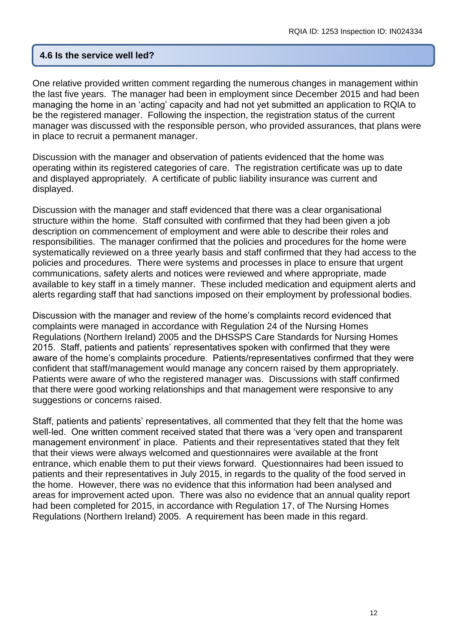#### **4.6 Is the service well led?**

One relative provided written comment regarding the numerous changes in management within the last five years. The manager had been in employment since December 2015 and had been managing the home in an 'acting' capacity and had not yet submitted an application to RQIA to be the registered manager. Following the inspection, the registration status of the current manager was discussed with the responsible person, who provided assurances, that plans were in place to recruit a permanent manager.

Discussion with the manager and observation of patients evidenced that the home was operating within its registered categories of care. The registration certificate was up to date and displayed appropriately. A certificate of public liability insurance was current and displayed.

Discussion with the manager and staff evidenced that there was a clear organisational structure within the home. Staff consulted with confirmed that they had been given a job description on commencement of employment and were able to describe their roles and responsibilities. The manager confirmed that the policies and procedures for the home were systematically reviewed on a three yearly basis and staff confirmed that they had access to the policies and procedures. There were systems and processes in place to ensure that urgent communications, safety alerts and notices were reviewed and where appropriate, made available to key staff in a timely manner. These included medication and equipment alerts and alerts regarding staff that had sanctions imposed on their employment by professional bodies.

Discussion with the manager and review of the home's complaints record evidenced that complaints were managed in accordance with Regulation 24 of the Nursing Homes Regulations (Northern Ireland) 2005 and the DHSSPS Care Standards for Nursing Homes 2015. Staff, patients and patients' representatives spoken with confirmed that they were aware of the home's complaints procedure. Patients/representatives confirmed that they were confident that staff/management would manage any concern raised by them appropriately. Patients were aware of who the registered manager was. Discussions with staff confirmed that there were good working relationships and that management were responsive to any suggestions or concerns raised.

Staff, patients and patients' representatives, all commented that they felt that the home was well-led. One written comment received stated that there was a 'very open and transparent management environment' in place. Patients and their representatives stated that they felt that their views were always welcomed and questionnaires were available at the front entrance, which enable them to put their views forward. Questionnaires had been issued to patients and their representatives in July 2015, in regards to the quality of the food served in the home. However, there was no evidence that this information had been analysed and areas for improvement acted upon. There was also no evidence that an annual quality report had been completed for 2015, in accordance with Regulation 17, of The Nursing Homes Regulations (Northern Ireland) 2005. A requirement has been made in this regard.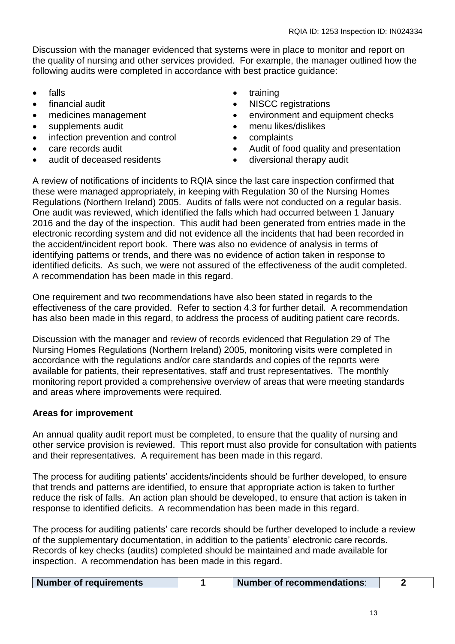Discussion with the manager evidenced that systems were in place to monitor and report on the quality of nursing and other services provided. For example, the manager outlined how the following audits were completed in accordance with best practice guidance:

- falls
- financial audit
- medicines management
- supplements audit
- infection prevention and control
- care records audit
- audit of deceased residents
- training
- NISCC registrations
- environment and equipment checks
- menu likes/dislikes
- complaints
- Audit of food quality and presentation
- diversional therapy audit

A review of notifications of incidents to RQIA since the last care inspection confirmed that these were managed appropriately, in keeping with Regulation 30 of the Nursing Homes Regulations (Northern Ireland) 2005. Audits of falls were not conducted on a regular basis. One audit was reviewed, which identified the falls which had occurred between 1 January 2016 and the day of the inspection. This audit had been generated from entries made in the electronic recording system and did not evidence all the incidents that had been recorded in the accident/incident report book. There was also no evidence of analysis in terms of identifying patterns or trends, and there was no evidence of action taken in response to identified deficits. As such, we were not assured of the effectiveness of the audit completed. A recommendation has been made in this regard.

One requirement and two recommendations have also been stated in regards to the effectiveness of the care provided. Refer to section 4.3 for further detail. A recommendation has also been made in this regard, to address the process of auditing patient care records.

Discussion with the manager and review of records evidenced that Regulation 29 of The Nursing Homes Regulations (Northern Ireland) 2005, monitoring visits were completed in accordance with the regulations and/or care standards and copies of the reports were available for patients, their representatives, staff and trust representatives. The monthly monitoring report provided a comprehensive overview of areas that were meeting standards and areas where improvements were required.

## **Areas for improvement**

An annual quality audit report must be completed, to ensure that the quality of nursing and other service provision is reviewed. This report must also provide for consultation with patients and their representatives. A requirement has been made in this regard.

The process for auditing patients' accidents/incidents should be further developed, to ensure that trends and patterns are identified, to ensure that appropriate action is taken to further reduce the risk of falls. An action plan should be developed, to ensure that action is taken in response to identified deficits. A recommendation has been made in this regard.

The process for auditing patients' care records should be further developed to include a review of the supplementary documentation, in addition to the patients' electronic care records. Records of key checks (audits) completed should be maintained and made available for inspection. A recommendation has been made in this regard.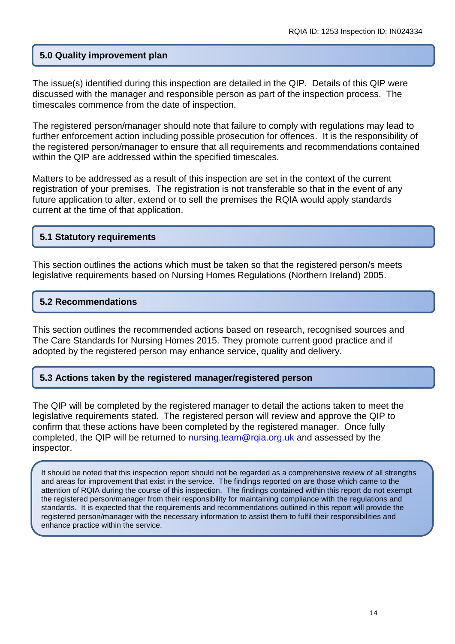## **5.0 Quality improvement plan**

The issue(s) identified during this inspection are detailed in the QIP. Details of this QIP were discussed with the manager and responsible person as part of the inspection process. The timescales commence from the date of inspection.

The registered person/manager should note that failure to comply with regulations may lead to further enforcement action including possible prosecution for offences. It is the responsibility of the registered person/manager to ensure that all requirements and recommendations contained within the QIP are addressed within the specified timescales.

Matters to be addressed as a result of this inspection are set in the context of the current registration of your premises. The registration is not transferable so that in the event of any future application to alter, extend or to sell the premises the RQIA would apply standards current at the time of that application.

#### **5.1 Statutory requirements**

This section outlines the actions which must be taken so that the registered person/s meets legislative requirements based on Nursing Homes Regulations (Northern Ireland) 2005.

#### **5.2 Recommendations**

This section outlines the recommended actions based on research, recognised sources and The Care Standards for Nursing Homes 2015. They promote current good practice and if adopted by the registered person may enhance service, quality and delivery.

#### **5.3 Actions taken by the registered manager/registered person**

The QIP will be completed by the registered manager to detail the actions taken to meet the legislative requirements stated. The registered person will review and approve the QIP to confirm that these actions have been completed by the registered manager. Once fully completed, the QIP will be returned to [nursing.team@rqia.org.uk](mailto:nursing.team@rqia.org.uk) and assessed by the inspector.

It should be noted that this inspection report should not be regarded as a comprehensive review of all strengths and areas for improvement that exist in the service. The findings reported on are those which came to the attention of RQIA during the course of this inspection. The findings contained within this report do not exempt the registered person/manager from their responsibility for maintaining compliance with the regulations and standards. It is expected that the requirements and recommendations outlined in this report will provide the registered person/manager with the necessary information to assist them to fulfil their responsibilities and enhance practice within the service.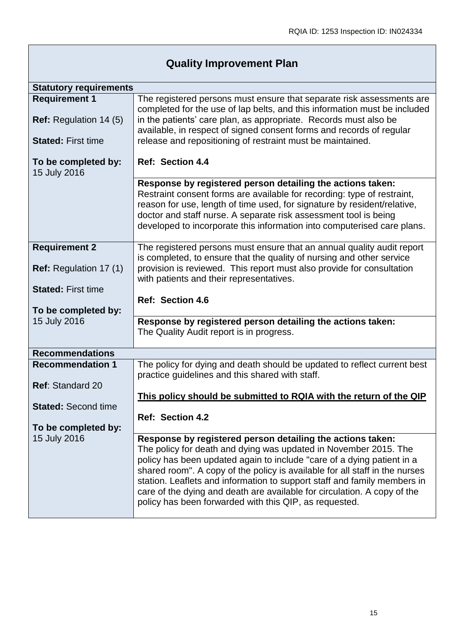| <b>Quality Improvement Plan</b>                                                    |                                                                                                                                                                                                                                                                                                                                                                                                                                                                                                           |  |  |
|------------------------------------------------------------------------------------|-----------------------------------------------------------------------------------------------------------------------------------------------------------------------------------------------------------------------------------------------------------------------------------------------------------------------------------------------------------------------------------------------------------------------------------------------------------------------------------------------------------|--|--|
| <b>Statutory requirements</b>                                                      |                                                                                                                                                                                                                                                                                                                                                                                                                                                                                                           |  |  |
| <b>Requirement 1</b><br><b>Ref:</b> Regulation 14 (5)<br><b>Stated: First time</b> | The registered persons must ensure that separate risk assessments are<br>completed for the use of lap belts, and this information must be included<br>in the patients' care plan, as appropriate. Records must also be<br>available, in respect of signed consent forms and records of regular<br>release and repositioning of restraint must be maintained.                                                                                                                                              |  |  |
| To be completed by:<br>15 July 2016                                                | Ref: Section 4.4                                                                                                                                                                                                                                                                                                                                                                                                                                                                                          |  |  |
|                                                                                    | Response by registered person detailing the actions taken:<br>Restraint consent forms are available for recording: type of restraint,<br>reason for use, length of time used, for signature by resident/relative,<br>doctor and staff nurse. A separate risk assessment tool is being<br>developed to incorporate this information into computerised care plans.                                                                                                                                          |  |  |
| <b>Requirement 2</b>                                                               | The registered persons must ensure that an annual quality audit report<br>is completed, to ensure that the quality of nursing and other service                                                                                                                                                                                                                                                                                                                                                           |  |  |
| Ref: Regulation 17 (1)                                                             | provision is reviewed. This report must also provide for consultation<br>with patients and their representatives.                                                                                                                                                                                                                                                                                                                                                                                         |  |  |
| <b>Stated: First time</b>                                                          |                                                                                                                                                                                                                                                                                                                                                                                                                                                                                                           |  |  |
| To be completed by:                                                                | <b>Ref: Section 4.6</b>                                                                                                                                                                                                                                                                                                                                                                                                                                                                                   |  |  |
| 15 July 2016                                                                       | Response by registered person detailing the actions taken:<br>The Quality Audit report is in progress.                                                                                                                                                                                                                                                                                                                                                                                                    |  |  |
| <b>Recommendations</b>                                                             |                                                                                                                                                                                                                                                                                                                                                                                                                                                                                                           |  |  |
| <b>Recommendation 1</b>                                                            | The policy for dying and death should be updated to reflect current best<br>practice guidelines and this shared with staff.                                                                                                                                                                                                                                                                                                                                                                               |  |  |
| <b>Ref: Standard 20</b>                                                            | This policy should be submitted to RQIA with the return of the QIP                                                                                                                                                                                                                                                                                                                                                                                                                                        |  |  |
| <b>Stated: Second time</b>                                                         | <b>Ref: Section 4.2</b>                                                                                                                                                                                                                                                                                                                                                                                                                                                                                   |  |  |
| To be completed by:                                                                |                                                                                                                                                                                                                                                                                                                                                                                                                                                                                                           |  |  |
| 15 July 2016                                                                       | Response by registered person detailing the actions taken:<br>The policy for death and dying was updated in November 2015. The<br>policy has been updated again to include "care of a dying patient in a<br>shared room". A copy of the policy is available for all staff in the nurses<br>station. Leaflets and information to support staff and family members in<br>care of the dying and death are available for circulation. A copy of the<br>policy has been forwarded with this QIP, as requested. |  |  |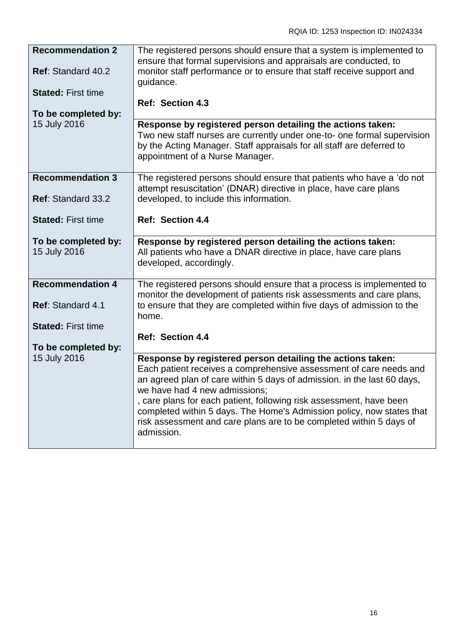| monitor staff performance or to ensure that staff receive support and                                                                                                                  |
|----------------------------------------------------------------------------------------------------------------------------------------------------------------------------------------|
|                                                                                                                                                                                        |
|                                                                                                                                                                                        |
|                                                                                                                                                                                        |
|                                                                                                                                                                                        |
| Two new staff nurses are currently under one-to- one formal supervision                                                                                                                |
| by the Acting Manager. Staff appraisals for all staff are deferred to                                                                                                                  |
| The registered persons should ensure that patients who have a 'do not                                                                                                                  |
| attempt resuscitation' (DNAR) directive in place, have care plans                                                                                                                      |
|                                                                                                                                                                                        |
|                                                                                                                                                                                        |
|                                                                                                                                                                                        |
| All patients who have a DNAR directive in place, have care plans                                                                                                                       |
| The registered persons should ensure that a process is implemented to                                                                                                                  |
| monitor the development of patients risk assessments and care plans,                                                                                                                   |
| to ensure that they are completed within five days of admission to the                                                                                                                 |
|                                                                                                                                                                                        |
|                                                                                                                                                                                        |
|                                                                                                                                                                                        |
|                                                                                                                                                                                        |
| Each patient receives a comprehensive assessment of care needs and<br>an agreed plan of care within 5 days of admission. in the last 60 days,                                          |
|                                                                                                                                                                                        |
| , care plans for each patient, following risk assessment, have been                                                                                                                    |
| completed within 5 days. The Home's Admission policy, now states that                                                                                                                  |
| risk assessment and care plans are to be completed within 5 days of                                                                                                                    |
|                                                                                                                                                                                        |
| Response by registered person detailing the actions taken:<br>Response by registered person detailing the actions taken:<br>Response by registered person detailing the actions taken: |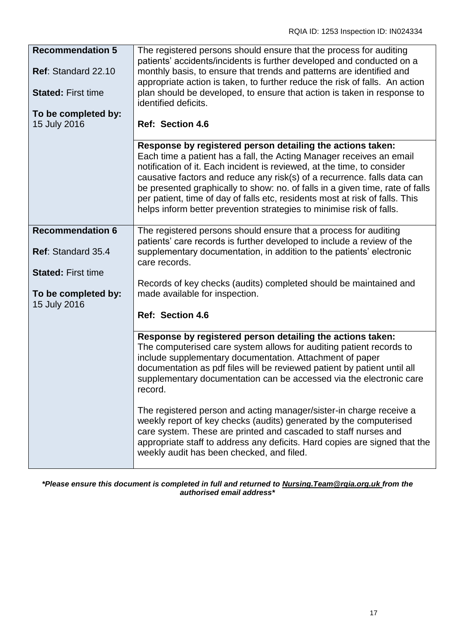| <b>Recommendation 5</b><br>Ref: Standard 22.10<br><b>Stated: First time</b><br>To be completed by:<br>15 July 2016 | The registered persons should ensure that the process for auditing<br>patients' accidents/incidents is further developed and conducted on a<br>monthly basis, to ensure that trends and patterns are identified and<br>appropriate action is taken, to further reduce the risk of falls. An action<br>plan should be developed, to ensure that action is taken in response to<br>identified deficits.<br><b>Ref: Section 4.6</b>                                                                                                                                                                                                                                                                       |
|--------------------------------------------------------------------------------------------------------------------|--------------------------------------------------------------------------------------------------------------------------------------------------------------------------------------------------------------------------------------------------------------------------------------------------------------------------------------------------------------------------------------------------------------------------------------------------------------------------------------------------------------------------------------------------------------------------------------------------------------------------------------------------------------------------------------------------------|
|                                                                                                                    | Response by registered person detailing the actions taken:<br>Each time a patient has a fall, the Acting Manager receives an email<br>notification of it. Each incident is reviewed, at the time, to consider<br>causative factors and reduce any risk(s) of a recurrence. falls data can<br>be presented graphically to show: no. of falls in a given time, rate of falls<br>per patient, time of day of falls etc, residents most at risk of falls. This<br>helps inform better prevention strategies to minimise risk of falls.                                                                                                                                                                     |
| <b>Recommendation 6</b><br>Ref: Standard 35.4<br><b>Stated: First time</b><br>To be completed by:<br>15 July 2016  | The registered persons should ensure that a process for auditing<br>patients' care records is further developed to include a review of the<br>supplementary documentation, in addition to the patients' electronic<br>care records.<br>Records of key checks (audits) completed should be maintained and<br>made available for inspection.<br><b>Ref: Section 4.6</b>                                                                                                                                                                                                                                                                                                                                  |
|                                                                                                                    | Response by registered person detailing the actions taken:<br>The computerised care system allows for auditing patient records to<br>include supplementary documentation. Attachment of paper<br>documentation as pdf files will be reviewed patient by patient until all<br>supplementary documentation can be accessed via the electronic care<br>record.<br>The registered person and acting manager/sister-in charge receive a<br>weekly report of key checks (audits) generated by the computerised<br>care system. These are printed and cascaded to staff nurses and<br>appropriate staff to address any deficits. Hard copies are signed that the<br>weekly audit has been checked, and filed. |

*\*Please ensure this document is completed in full and returned to [Nursing.Team@rqia.org.uk](mailto:Nursing.Team@rqia.org.uk) from the authorised email address\**